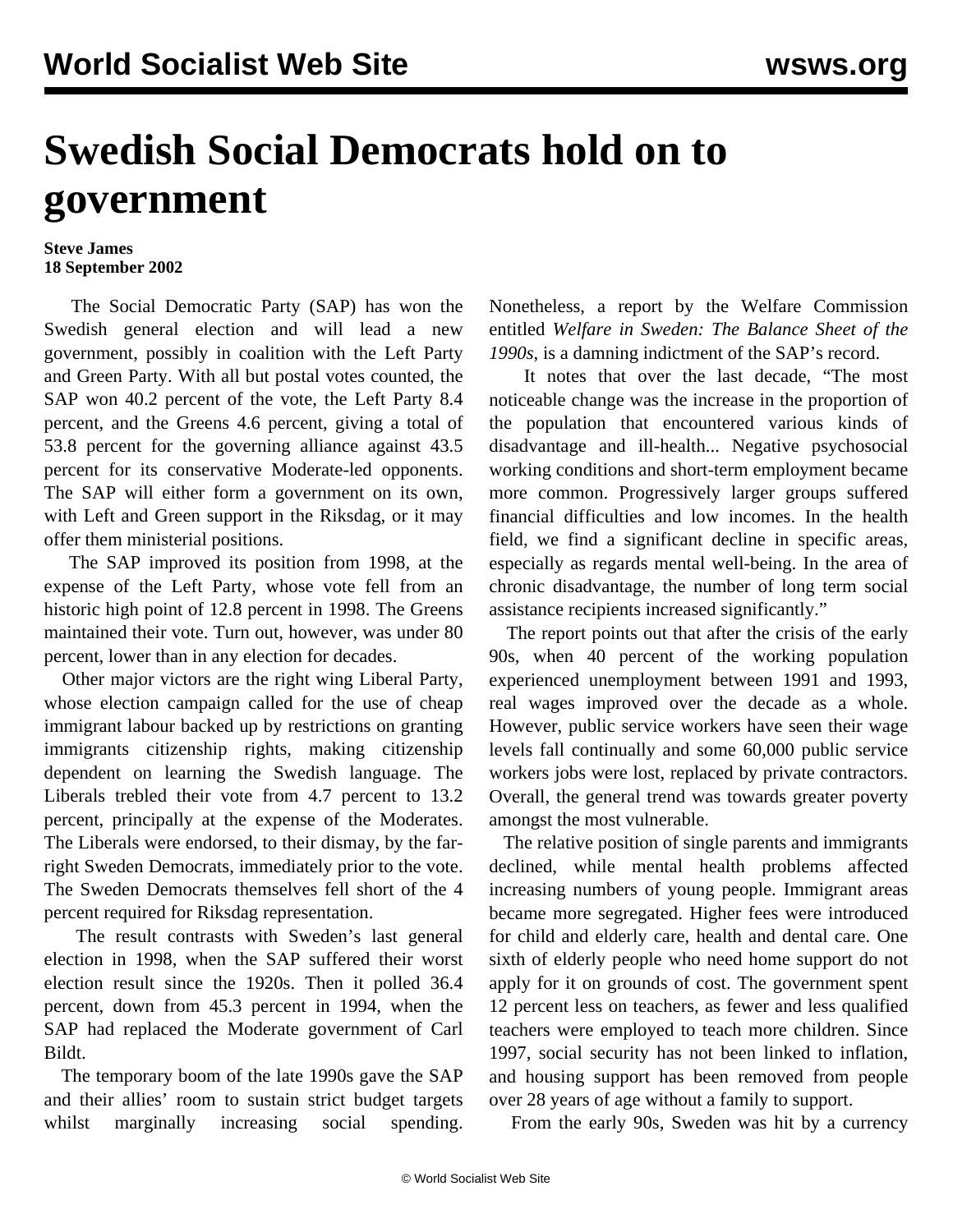## **Swedish Social Democrats hold on to government**

## **Steve James 18 September 2002**

 The Social Democratic Party (SAP) has won the Swedish general election and will lead a new government, possibly in coalition with the Left Party and Green Party. With all but postal votes counted, the SAP won 40.2 percent of the vote, the Left Party 8.4 percent, and the Greens 4.6 percent, giving a total of 53.8 percent for the governing alliance against 43.5 percent for its conservative Moderate-led opponents. The SAP will either form a government on its own, with Left and Green support in the Riksdag, or it may offer them ministerial positions.

 The SAP improved its position from 1998, at the expense of the Left Party, whose vote fell from an historic high point of 12.8 percent in 1998. The Greens maintained their vote. Turn out, however, was under 80 percent, lower than in any election for decades.

 Other major victors are the right wing Liberal Party, whose election campaign called for the use of cheap immigrant labour backed up by restrictions on granting immigrants citizenship rights, making citizenship dependent on learning the Swedish language. The Liberals trebled their vote from 4.7 percent to 13.2 percent, principally at the expense of the Moderates. The Liberals were endorsed, to their dismay, by the farright Sweden Democrats, immediately prior to the vote. The Sweden Democrats themselves fell short of the 4 percent required for Riksdag representation.

 The result contrasts with Sweden's last general election in 1998, when the SAP suffered their worst election result since the 1920s. Then it polled 36.4 percent, down from 45.3 percent in 1994, when the SAP had replaced the Moderate government of Carl Bildt.

 The temporary boom of the late 1990s gave the SAP and their allies' room to sustain strict budget targets whilst marginally increasing social spending.

Nonetheless, a report by the Welfare Commission entitled *Welfare in Sweden: The Balance Sheet of the 1990s*, is a damning indictment of the SAP's record.

 It notes that over the last decade, "The most noticeable change was the increase in the proportion of the population that encountered various kinds of disadvantage and ill-health... Negative psychosocial working conditions and short-term employment became more common. Progressively larger groups suffered financial difficulties and low incomes. In the health field, we find a significant decline in specific areas, especially as regards mental well-being. In the area of chronic disadvantage, the number of long term social assistance recipients increased significantly."

 The report points out that after the crisis of the early 90s, when 40 percent of the working population experienced unemployment between 1991 and 1993, real wages improved over the decade as a whole. However, public service workers have seen their wage levels fall continually and some 60,000 public service workers jobs were lost, replaced by private contractors. Overall, the general trend was towards greater poverty amongst the most vulnerable.

 The relative position of single parents and immigrants declined, while mental health problems affected increasing numbers of young people. Immigrant areas became more segregated. Higher fees were introduced for child and elderly care, health and dental care. One sixth of elderly people who need home support do not apply for it on grounds of cost. The government spent 12 percent less on teachers, as fewer and less qualified teachers were employed to teach more children. Since 1997, social security has not been linked to inflation, and housing support has been removed from people over 28 years of age without a family to support.

From the early 90s, Sweden was hit by a currency